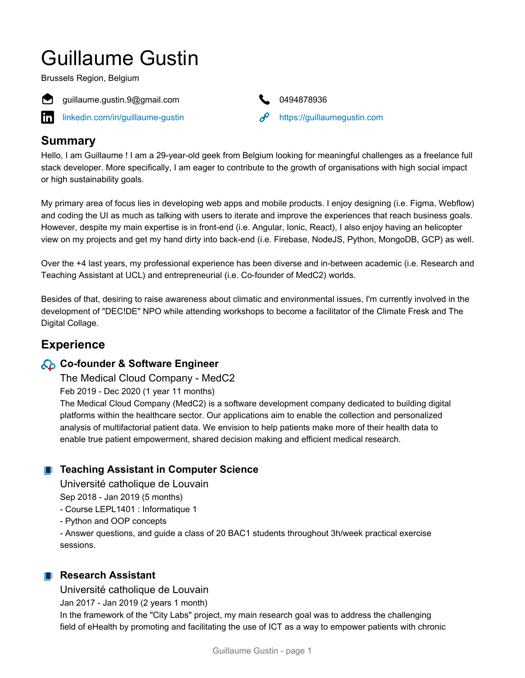# Guillaume Gustin

Brussels Region, Belgium



guillaume.gustin.9@gmail.com 0494878936

[linkedin.com/in/guillaume-gustin](https://www.linkedin.com/in/guillaume-gustin)  $\mathscr{P}$  <https://guillaumegustin.com>



# **Summary**

Hello, I am Guillaume ! I am a 29-year-old geek from Belgium looking for meaningful challenges as a freelance full stack developer. More specifically, I am eager to contribute to the growth of organisations with high social impact or high sustainability goals.

My primary area of focus lies in developing web apps and mobile products. I enjoy designing (i.e. Figma, Webflow) and coding the UI as much as talking with users to iterate and improve the experiences that reach business goals. However, despite my main expertise is in front-end (i.e. Angular, Ionic, React), I also enjoy having an helicopter view on my projects and get my hand dirty into back-end (i.e. Firebase, NodeJS, Python, MongoDB, GCP) as well.

Over the +4 last years, my professional experience has been diverse and in-between academic (i.e. Research and Teaching Assistant at UCL) and entrepreneurial (i.e. Co-founder of MedC2) worlds.

Besides of that, desiring to raise awareness about climatic and environmental issues, I'm currently involved in the development of "DEC!DE" NPO while attending workshops to become a facilitator of the Climate Fresk and The Digital Collage.

# **Experience**

# **Co-founder & Software Engineer**

The Medical Cloud Company - MedC2

Feb 2019 - Dec 2020 (1 year 11 months)

The Medical Cloud Company (MedC2) is a software development company dedicated to building digital platforms within the healthcare sector. Our applications aim to enable the collection and personalized analysis of multifactorial patient data. We envision to help patients make more of their health data to enable true patient empowerment, shared decision making and efficient medical research.

# **Teaching Assistant in Computer Science**

Université catholique de Louvain

Sep 2018 - Jan 2019 (5 months)

- Course LEPL1401 : Informatique 1
- Python and OOP concepts

- Answer questions, and guide a class of 20 BAC1 students throughout 3h/week practical exercise sessions.

# **Research Assistant**

Université catholique de Louvain

Jan 2017 - Jan 2019 (2 years 1 month)

In the framework of the "City Labs" project, my main research goal was to address the challenging field of eHealth by promoting and facilitating the use of ICT as a way to empower patients with chronic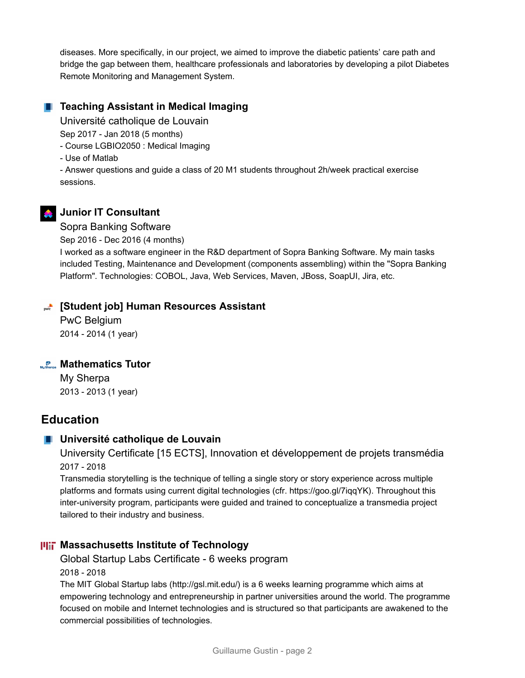diseases. More specifically, in our project, we aimed to improve the diabetic patients' care path and bridge the gap between them, healthcare professionals and laboratories by developing a pilot Diabetes Remote Monitoring and Management System.

#### **Teaching Assistant in Medical Imaging**

Université catholique de Louvain

Sep 2017 - Jan 2018 (5 months)

- Course LGBIO2050 : Medical Imaging
- Use of Matlab

- Answer questions and guide a class of 20 M1 students throughout 2h/week practical exercise sessions.

## **A** Junior IT Consultant

#### Sopra Banking Software

Sep 2016 - Dec 2016 (4 months)

I worked as a software engineer in the R&D department of Sopra Banking Software. My main tasks included Testing, Maintenance and Development (components assembling) within the "Sopra Banking Platform". Technologies: COBOL, Java, Web Services, Maven, JBoss, SoapUI, Jira, etc.

#### **[Student job] Human Resources Assistant**

PwC Belgium 2014 - 2014 (1 year)

#### **Mathematics Tutor**

My Sherpa 2013 - 2013 (1 year)

# **Education**

#### **Université catholique de Louvain**

University Certificate [15 ECTS], Innovation et développement de projets transmédia 2017 - 2018

Transmedia storytelling is the technique of telling a single story or story experience across multiple platforms and formats using current digital technologies (cfr. https://goo.gl/7iqqYK). Throughout this inter-university program, participants were guided and trained to conceptualize a transmedia project tailored to their industry and business.

#### **Massachusetts Institute of Technology**

Global Startup Labs Certificate - 6 weeks program

#### 2018 - 2018

The MIT Global Startup labs (http://gsl.mit.edu/) is a 6 weeks learning programme which aims at empowering technology and entrepreneurship in partner universities around the world. The programme focused on mobile and Internet technologies and is structured so that participants are awakened to the commercial possibilities of technologies.